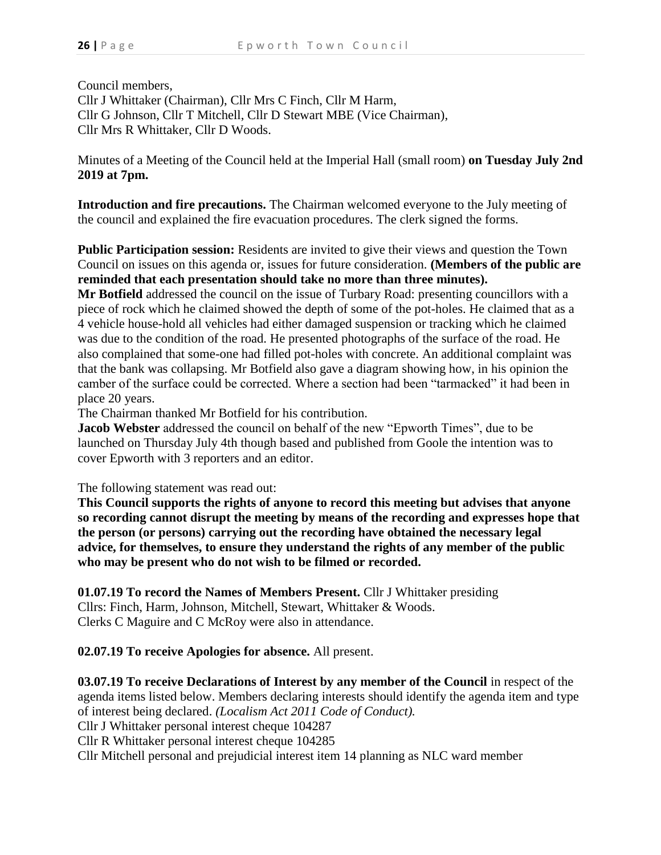Council members, Cllr J Whittaker (Chairman), Cllr Mrs C Finch, Cllr M Harm, Cllr G Johnson, Cllr T Mitchell, Cllr D Stewart MBE (Vice Chairman), Cllr Mrs R Whittaker, Cllr D Woods.

Minutes of a Meeting of the Council held at the Imperial Hall (small room) **on Tuesday July 2nd 2019 at 7pm.**

**Introduction and fire precautions.** The Chairman welcomed everyone to the July meeting of the council and explained the fire evacuation procedures. The clerk signed the forms.

**Public Participation session:** Residents are invited to give their views and question the Town Council on issues on this agenda or, issues for future consideration. **(Members of the public are reminded that each presentation should take no more than three minutes).**

**Mr Botfield** addressed the council on the issue of Turbary Road: presenting councillors with a piece of rock which he claimed showed the depth of some of the pot-holes. He claimed that as a 4 vehicle house-hold all vehicles had either damaged suspension or tracking which he claimed was due to the condition of the road. He presented photographs of the surface of the road. He also complained that some-one had filled pot-holes with concrete. An additional complaint was that the bank was collapsing. Mr Botfield also gave a diagram showing how, in his opinion the camber of the surface could be corrected. Where a section had been "tarmacked" it had been in place 20 years.

The Chairman thanked Mr Botfield for his contribution.

**Jacob Webster** addressed the council on behalf of the new "Epworth Times", due to be launched on Thursday July 4th though based and published from Goole the intention was to cover Epworth with 3 reporters and an editor.

The following statement was read out:

**This Council supports the rights of anyone to record this meeting but advises that anyone so recording cannot disrupt the meeting by means of the recording and expresses hope that the person (or persons) carrying out the recording have obtained the necessary legal advice, for themselves, to ensure they understand the rights of any member of the public who may be present who do not wish to be filmed or recorded.**

**01.07.19 To record the Names of Members Present.** Cllr J Whittaker presiding Cllrs: Finch, Harm, Johnson, Mitchell, Stewart, Whittaker & Woods. Clerks C Maguire and C McRoy were also in attendance.

**02.07.19 To receive Apologies for absence.** All present.

**03.07.19 To receive Declarations of Interest by any member of the Council** in respect of the agenda items listed below. Members declaring interests should identify the agenda item and type of interest being declared. *(Localism Act 2011 Code of Conduct).* Cllr J Whittaker personal interest cheque 104287 Cllr R Whittaker personal interest cheque 104285 Cllr Mitchell personal and prejudicial interest item 14 planning as NLC ward member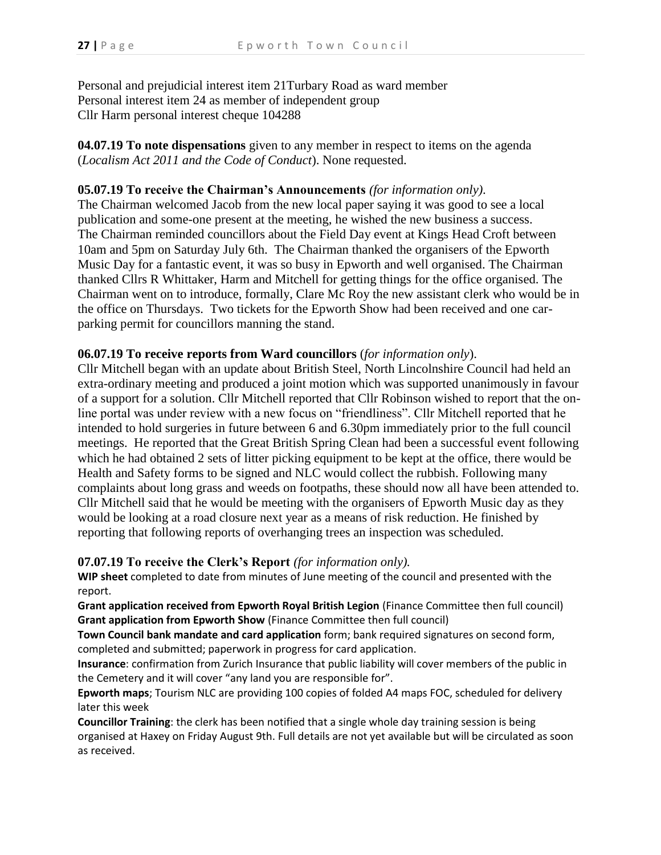Personal and prejudicial interest item 21Turbary Road as ward member Personal interest item 24 as member of independent group Cllr Harm personal interest cheque 104288

**04.07.19 To note dispensations** given to any member in respect to items on the agenda (*Localism Act 2011 and the Code of Conduct*). None requested.

## **05.07.19 To receive the Chairman's Announcements** *(for information only)*.

The Chairman welcomed Jacob from the new local paper saying it was good to see a local publication and some-one present at the meeting, he wished the new business a success. The Chairman reminded councillors about the Field Day event at Kings Head Croft between 10am and 5pm on Saturday July 6th. The Chairman thanked the organisers of the Epworth Music Day for a fantastic event, it was so busy in Epworth and well organised. The Chairman thanked Cllrs R Whittaker, Harm and Mitchell for getting things for the office organised. The Chairman went on to introduce, formally, Clare Mc Roy the new assistant clerk who would be in the office on Thursdays. Two tickets for the Epworth Show had been received and one carparking permit for councillors manning the stand.

## **06.07.19 To receive reports from Ward councillors** (*for information only*).

Cllr Mitchell began with an update about British Steel, North Lincolnshire Council had held an extra-ordinary meeting and produced a joint motion which was supported unanimously in favour of a support for a solution. Cllr Mitchell reported that Cllr Robinson wished to report that the online portal was under review with a new focus on "friendliness". Cllr Mitchell reported that he intended to hold surgeries in future between 6 and 6.30pm immediately prior to the full council meetings. He reported that the Great British Spring Clean had been a successful event following which he had obtained 2 sets of litter picking equipment to be kept at the office, there would be Health and Safety forms to be signed and NLC would collect the rubbish. Following many complaints about long grass and weeds on footpaths, these should now all have been attended to. Cllr Mitchell said that he would be meeting with the organisers of Epworth Music day as they would be looking at a road closure next year as a means of risk reduction. He finished by reporting that following reports of overhanging trees an inspection was scheduled.

## **07.07.19 To receive the Clerk's Report** *(for information only).*

**WIP sheet** completed to date from minutes of June meeting of the council and presented with the report.

**Grant application received from Epworth Royal British Legion** (Finance Committee then full council) **Grant application from Epworth Show** (Finance Committee then full council)

**Town Council bank mandate and card application** form; bank required signatures on second form, completed and submitted; paperwork in progress for card application.

**Insurance**: confirmation from Zurich Insurance that public liability will cover members of the public in the Cemetery and it will cover "any land you are responsible for".

**Epworth maps**; Tourism NLC are providing 100 copies of folded A4 maps FOC, scheduled for delivery later this week

**Councillor Training**: the clerk has been notified that a single whole day training session is being organised at Haxey on Friday August 9th. Full details are not yet available but will be circulated as soon as received.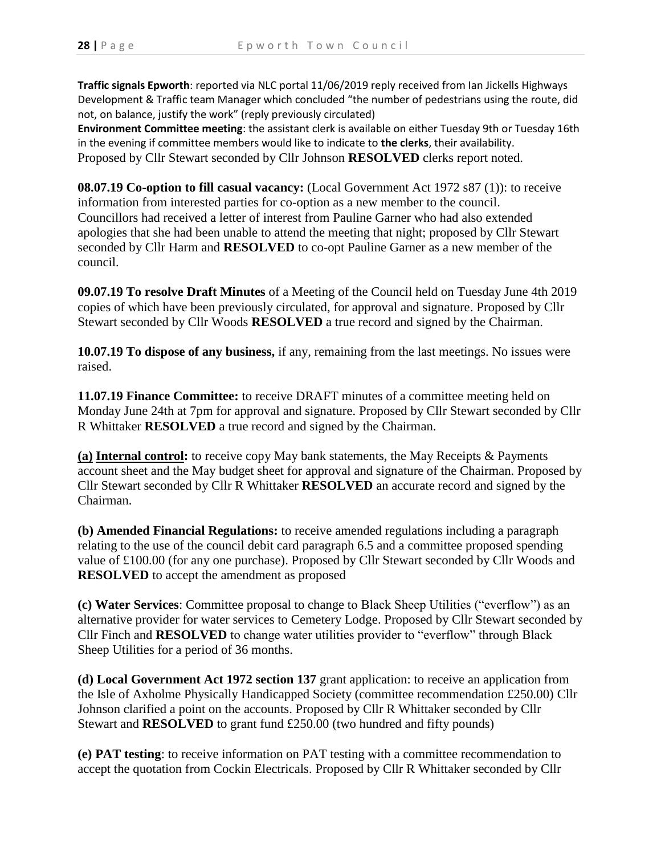**Traffic signals Epworth**: reported via NLC portal 11/06/2019 reply received from Ian Jickells Highways Development & Traffic team Manager which concluded "the number of pedestrians using the route, did not, on balance, justify the work" (reply previously circulated)

**Environment Committee meeting**: the assistant clerk is available on either Tuesday 9th or Tuesday 16th in the evening if committee members would like to indicate to **the clerks**, their availability. Proposed by Cllr Stewart seconded by Cllr Johnson **RESOLVED** clerks report noted.

**08.07.19 Co-option to fill casual vacancy:** (Local Government Act 1972 s87 (1)): to receive information from interested parties for co-option as a new member to the council. Councillors had received a letter of interest from Pauline Garner who had also extended apologies that she had been unable to attend the meeting that night; proposed by Cllr Stewart seconded by Cllr Harm and **RESOLVED** to co-opt Pauline Garner as a new member of the council.

**09.07.19 To resolve Draft Minutes** of a Meeting of the Council held on Tuesday June 4th 2019 copies of which have been previously circulated, for approval and signature. Proposed by Cllr Stewart seconded by Cllr Woods **RESOLVED** a true record and signed by the Chairman.

**10.07.19 To dispose of any business,** if any, remaining from the last meetings. No issues were raised.

**11.07.19 Finance Committee:** to receive DRAFT minutes of a committee meeting held on Monday June 24th at 7pm for approval and signature. Proposed by Cllr Stewart seconded by Cllr R Whittaker **RESOLVED** a true record and signed by the Chairman.

**(a) Internal control:** to receive copy May bank statements, the May Receipts & Payments account sheet and the May budget sheet for approval and signature of the Chairman. Proposed by Cllr Stewart seconded by Cllr R Whittaker **RESOLVED** an accurate record and signed by the Chairman.

**(b) Amended Financial Regulations:** to receive amended regulations including a paragraph relating to the use of the council debit card paragraph 6.5 and a committee proposed spending value of £100.00 (for any one purchase). Proposed by Cllr Stewart seconded by Cllr Woods and **RESOLVED** to accept the amendment as proposed

**(c) Water Services**: Committee proposal to change to Black Sheep Utilities ("everflow") as an alternative provider for water services to Cemetery Lodge. Proposed by Cllr Stewart seconded by Cllr Finch and **RESOLVED** to change water utilities provider to "everflow" through Black Sheep Utilities for a period of 36 months.

**(d) Local Government Act 1972 section 137** grant application: to receive an application from the Isle of Axholme Physically Handicapped Society (committee recommendation £250.00) Cllr Johnson clarified a point on the accounts. Proposed by Cllr R Whittaker seconded by Cllr Stewart and **RESOLVED** to grant fund £250.00 (two hundred and fifty pounds)

**(e) PAT testing**: to receive information on PAT testing with a committee recommendation to accept the quotation from Cockin Electricals. Proposed by Cllr R Whittaker seconded by Cllr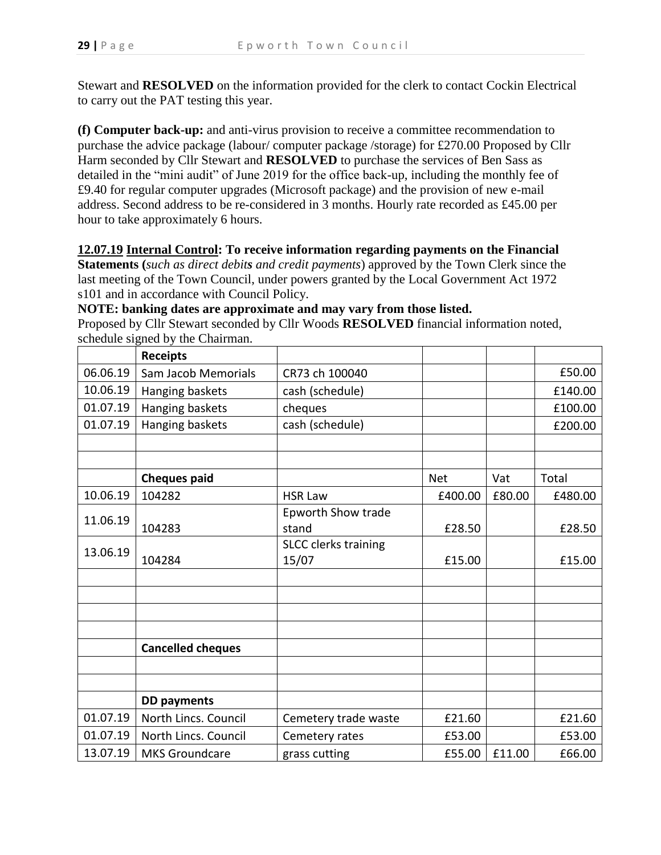Stewart and **RESOLVED** on the information provided for the clerk to contact Cockin Electrical to carry out the PAT testing this year.

**(f) Computer back-up:** and anti-virus provision to receive a committee recommendation to purchase the advice package (labour/ computer package /storage) for £270.00 Proposed by Cllr Harm seconded by Cllr Stewart and **RESOLVED** to purchase the services of Ben Sass as detailed in the "mini audit" of June 2019 for the office back-up, including the monthly fee of £9.40 for regular computer upgrades (Microsoft package) and the provision of new e-mail address. Second address to be re-considered in 3 months. Hourly rate recorded as £45.00 per hour to take approximately 6 hours.

## **12.07.19 Internal Control: To receive information regarding payments on the Financial**

**Statements (***such as direct debits and credit payments*) approved by the Town Clerk since the last meeting of the Town Council, under powers granted by the Local Government Act 1972 s101 and in accordance with Council Policy.

**NOTE: banking dates are approximate and may vary from those listed.**

Proposed by Cllr Stewart seconded by Cllr Woods **RESOLVED** financial information noted, schedule signed by the Chairman.

|          | <b>Receipts</b>          |                             |            |        |         |
|----------|--------------------------|-----------------------------|------------|--------|---------|
| 06.06.19 | Sam Jacob Memorials      | CR73 ch 100040              |            |        | £50.00  |
| 10.06.19 | Hanging baskets          | cash (schedule)             |            |        | £140.00 |
| 01.07.19 | Hanging baskets          | cheques                     |            |        | £100.00 |
| 01.07.19 | Hanging baskets          | cash (schedule)             |            |        | £200.00 |
|          |                          |                             |            |        |         |
|          |                          |                             |            |        |         |
|          | <b>Cheques paid</b>      |                             | <b>Net</b> | Vat    | Total   |
| 10.06.19 | 104282                   | <b>HSR Law</b>              | £400.00    | £80.00 | £480.00 |
| 11.06.19 |                          | <b>Epworth Show trade</b>   |            |        |         |
|          | 104283                   | stand                       | £28.50     |        | £28.50  |
| 13.06.19 |                          | <b>SLCC</b> clerks training |            |        |         |
|          | 104284                   | 15/07                       | £15.00     |        | £15.00  |
|          |                          |                             |            |        |         |
|          |                          |                             |            |        |         |
|          |                          |                             |            |        |         |
|          |                          |                             |            |        |         |
|          | <b>Cancelled cheques</b> |                             |            |        |         |
|          |                          |                             |            |        |         |
|          |                          |                             |            |        |         |
|          | <b>DD payments</b>       |                             |            |        |         |
| 01.07.19 | North Lincs. Council     | Cemetery trade waste        | £21.60     |        | £21.60  |
| 01.07.19 | North Lincs. Council     | Cemetery rates              | £53.00     |        | £53.00  |
| 13.07.19 | <b>MKS Groundcare</b>    | grass cutting               | £55.00     | £11.00 | £66.00  |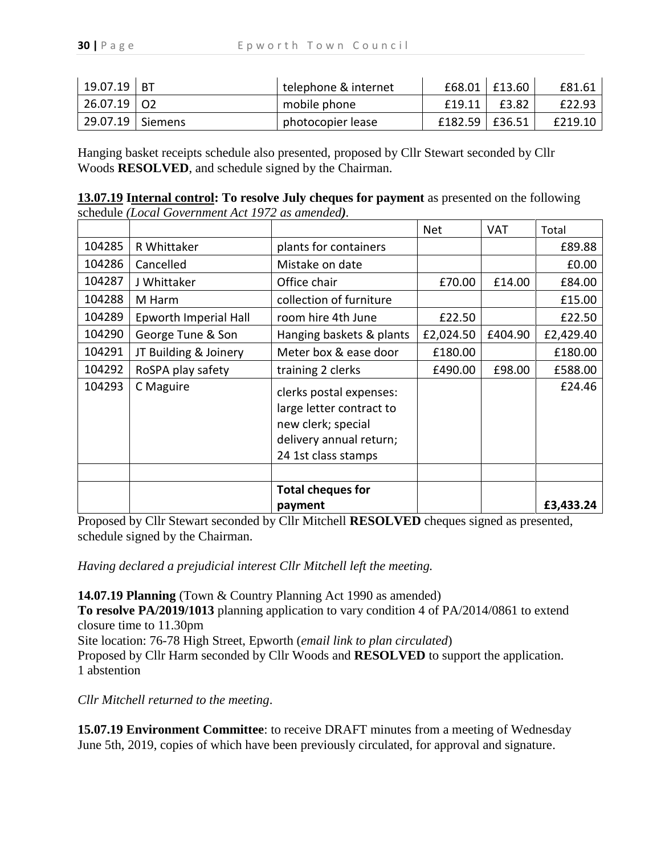| $19.07.19$ BT      | telephone & internet |                | $£68.01$ $£13.60$ | £81.61  |
|--------------------|----------------------|----------------|-------------------|---------|
| 26.07.19 02        | mobile phone         | £19.11         | £3.82             | £22.93  |
| 29.07.19   Siemens | photocopier lease    | £182.59 E36.51 |                   | £219.10 |

Hanging basket receipts schedule also presented, proposed by Cllr Stewart seconded by Cllr Woods **RESOLVED**, and schedule signed by the Chairman.

| 13.07.19 Internal control: To resolve July cheques for payment as presented on the following |  |
|----------------------------------------------------------------------------------------------|--|
| schedule (Local Government Act 1972 as amended).                                             |  |

|        |                       |                                                                                                                             | <b>Net</b> | <b>VAT</b> | Total     |
|--------|-----------------------|-----------------------------------------------------------------------------------------------------------------------------|------------|------------|-----------|
| 104285 | R Whittaker           | plants for containers                                                                                                       |            |            | £89.88    |
| 104286 | Cancelled             | Mistake on date                                                                                                             |            |            | £0.00     |
| 104287 | J Whittaker           | Office chair                                                                                                                | £70.00     | £14.00     | £84.00    |
| 104288 | M Harm                | collection of furniture                                                                                                     |            |            | £15.00    |
| 104289 | Epworth Imperial Hall | room hire 4th June                                                                                                          | £22.50     |            | £22.50    |
| 104290 | George Tune & Son     | Hanging baskets & plants                                                                                                    | £2,024.50  | £404.90    | £2,429.40 |
| 104291 | JT Building & Joinery | Meter box & ease door                                                                                                       | £180.00    |            | £180.00   |
| 104292 | RoSPA play safety     | training 2 clerks                                                                                                           | £490.00    | £98.00     | £588.00   |
| 104293 | C Maguire             | clerks postal expenses:<br>large letter contract to<br>new clerk; special<br>delivery annual return;<br>24 1st class stamps |            |            | £24.46    |
|        |                       |                                                                                                                             |            |            |           |
|        |                       | <b>Total cheques for</b>                                                                                                    |            |            |           |
|        |                       | payment                                                                                                                     |            |            | £3,433.24 |

Proposed by Cllr Stewart seconded by Cllr Mitchell **RESOLVED** cheques signed as presented, schedule signed by the Chairman.

*Having declared a prejudicial interest Cllr Mitchell left the meeting.*

**14.07.19 Planning** (Town & Country Planning Act 1990 as amended)

**To resolve PA/2019/1013** planning application to vary condition 4 of PA/2014/0861 to extend closure time to 11.30pm

Site location: 76-78 High Street, Epworth (*email link to plan circulated*)

Proposed by Cllr Harm seconded by Cllr Woods and **RESOLVED** to support the application. 1 abstention

*Cllr Mitchell returned to the meeting*.

**15.07.19 Environment Committee**: to receive DRAFT minutes from a meeting of Wednesday June 5th, 2019, copies of which have been previously circulated, for approval and signature.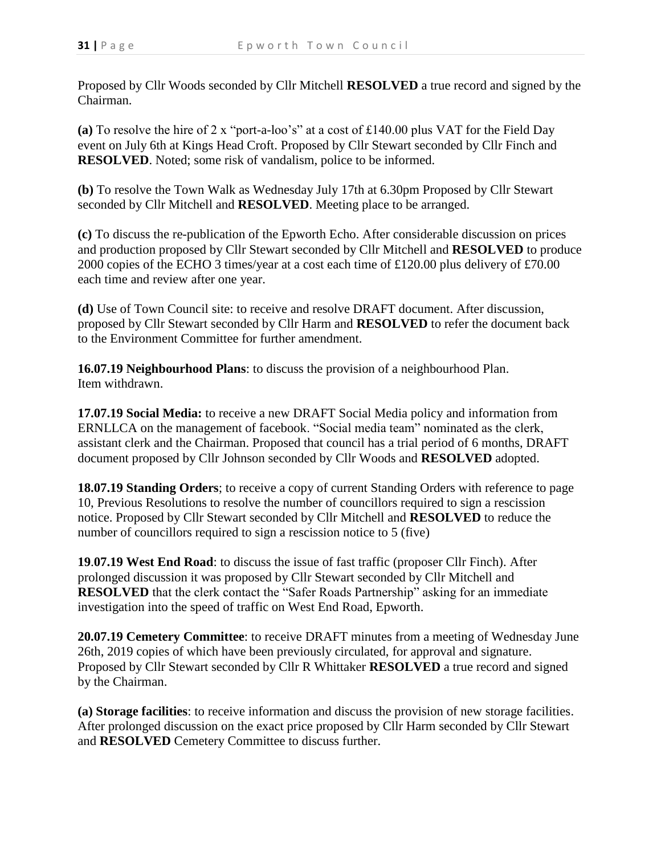Proposed by Cllr Woods seconded by Cllr Mitchell **RESOLVED** a true record and signed by the Chairman.

**(a)** To resolve the hire of 2 x "port-a-loo's" at a cost of £140.00 plus VAT for the Field Day event on July 6th at Kings Head Croft. Proposed by Cllr Stewart seconded by Cllr Finch and **RESOLVED**. Noted; some risk of vandalism, police to be informed.

**(b)** To resolve the Town Walk as Wednesday July 17th at 6.30pm Proposed by Cllr Stewart seconded by Cllr Mitchell and **RESOLVED**. Meeting place to be arranged.

**(c)** To discuss the re-publication of the Epworth Echo. After considerable discussion on prices and production proposed by Cllr Stewart seconded by Cllr Mitchell and **RESOLVED** to produce 2000 copies of the ECHO 3 times/year at a cost each time of £120.00 plus delivery of £70.00 each time and review after one year.

**(d)** Use of Town Council site: to receive and resolve DRAFT document. After discussion, proposed by Cllr Stewart seconded by Cllr Harm and **RESOLVED** to refer the document back to the Environment Committee for further amendment.

**16.07.19 Neighbourhood Plans**: to discuss the provision of a neighbourhood Plan. Item withdrawn.

**17.07.19 Social Media:** to receive a new DRAFT Social Media policy and information from ERNLLCA on the management of facebook. "Social media team" nominated as the clerk, assistant clerk and the Chairman. Proposed that council has a trial period of 6 months, DRAFT document proposed by Cllr Johnson seconded by Cllr Woods and **RESOLVED** adopted.

**18.07.19 Standing Orders**; to receive a copy of current Standing Orders with reference to page 10, Previous Resolutions to resolve the number of councillors required to sign a rescission notice. Proposed by Cllr Stewart seconded by Cllr Mitchell and **RESOLVED** to reduce the number of councillors required to sign a rescission notice to 5 (five)

**19**.**07.19 West End Road**: to discuss the issue of fast traffic (proposer Cllr Finch). After prolonged discussion it was proposed by Cllr Stewart seconded by Cllr Mitchell and **RESOLVED** that the clerk contact the "Safer Roads Partnership" asking for an immediate investigation into the speed of traffic on West End Road, Epworth.

**20.07.19 Cemetery Committee**: to receive DRAFT minutes from a meeting of Wednesday June 26th, 2019 copies of which have been previously circulated, for approval and signature. Proposed by Cllr Stewart seconded by Cllr R Whittaker **RESOLVED** a true record and signed by the Chairman.

**(a) Storage facilities**: to receive information and discuss the provision of new storage facilities. After prolonged discussion on the exact price proposed by Cllr Harm seconded by Cllr Stewart and **RESOLVED** Cemetery Committee to discuss further.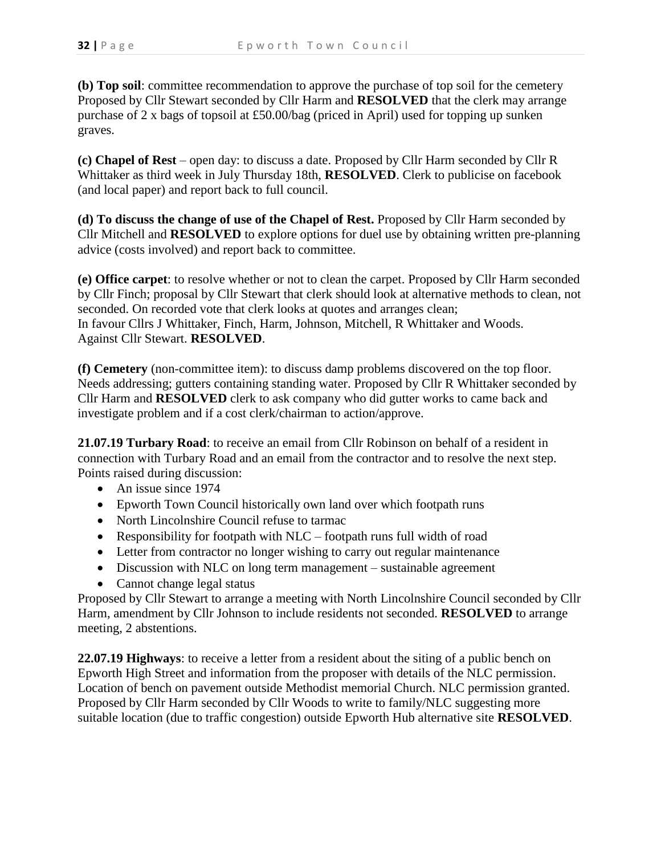**(b) Top soil**: committee recommendation to approve the purchase of top soil for the cemetery Proposed by Cllr Stewart seconded by Cllr Harm and **RESOLVED** that the clerk may arrange purchase of 2 x bags of topsoil at £50.00/bag (priced in April) used for topping up sunken graves.

**(c) Chapel of Rest** – open day: to discuss a date. Proposed by Cllr Harm seconded by Cllr R Whittaker as third week in July Thursday 18th, **RESOLVED**. Clerk to publicise on facebook (and local paper) and report back to full council.

**(d) To discuss the change of use of the Chapel of Rest.** Proposed by Cllr Harm seconded by Cllr Mitchell and **RESOLVED** to explore options for duel use by obtaining written pre-planning advice (costs involved) and report back to committee.

**(e) Office carpet**: to resolve whether or not to clean the carpet. Proposed by Cllr Harm seconded by Cllr Finch; proposal by Cllr Stewart that clerk should look at alternative methods to clean, not seconded. On recorded vote that clerk looks at quotes and arranges clean; In favour Cllrs J Whittaker, Finch, Harm, Johnson, Mitchell, R Whittaker and Woods. Against Cllr Stewart. **RESOLVED**.

**(f) Cemetery** (non-committee item): to discuss damp problems discovered on the top floor. Needs addressing; gutters containing standing water. Proposed by Cllr R Whittaker seconded by Cllr Harm and **RESOLVED** clerk to ask company who did gutter works to came back and investigate problem and if a cost clerk/chairman to action/approve.

**21.07.19 Turbary Road**: to receive an email from Cllr Robinson on behalf of a resident in connection with Turbary Road and an email from the contractor and to resolve the next step. Points raised during discussion:

- An issue since 1974
- Epworth Town Council historically own land over which footpath runs
- North Lincolnshire Council refuse to tarmac
- Responsibility for footpath with NLC footpath runs full width of road
- Letter from contractor no longer wishing to carry out regular maintenance
- Discussion with NLC on long term management sustainable agreement
- Cannot change legal status

Proposed by Cllr Stewart to arrange a meeting with North Lincolnshire Council seconded by Cllr Harm, amendment by Cllr Johnson to include residents not seconded. **RESOLVED** to arrange meeting, 2 abstentions.

**22.07.19 Highways**: to receive a letter from a resident about the siting of a public bench on Epworth High Street and information from the proposer with details of the NLC permission. Location of bench on pavement outside Methodist memorial Church. NLC permission granted. Proposed by Cllr Harm seconded by Cllr Woods to write to family/NLC suggesting more suitable location (due to traffic congestion) outside Epworth Hub alternative site **RESOLVED**.